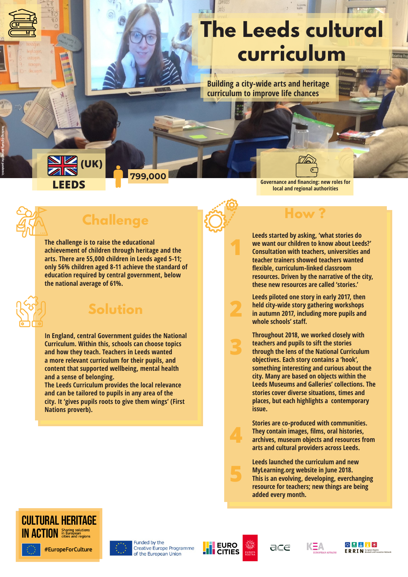# **The Leeds cultural curriculum**

**Building a city-wide arts and heritage curriculum to improve life chances**

**1**

**2**

**3**

**4**

**5**

#### **LEEDS (UK)**

**Governance and financing: new roles for local and regional authorities**



**Teaching digitally during the pandemic.**

# **Challenge**

**799,000**

**The challenge is to raise the educational achievement of children through heritage and the arts. There are 55,000 children in Leeds aged 5-11; only 56% children aged 8-11 achieve the standard of education required by central government, below the national average of 61%.**



### **Solution**

**In England, central Government guides the National Curriculum. Within this, schools can choose topics and how they teach. Teachers in Leeds wanted a more relevant curriculum for their pupils, and content that supported wellbeing, mental health and a sense of belonging.**

**The Leeds Curriculum provides the local relevance and can be tailored to pupils in any area of the city. It 'gives pupils roots to give them wings' (First Nations proverb).** 

**Leeds started by asking, 'what stories do we want our children to know about Leeds?' Consultation with teachers, universities and teacher trainers showed teachers wanted flexible, curriculum-linked classroom resources. Driven by the narrative of the city, these new resources are called 'stories.'** 

**Leeds piloted one story in early 2017, then held city-wide story gathering workshops in autumn 2017, including more pupils and whole schools' staff.** 

**Throughout 2018, we worked closely with teachers and pupils to sift the stories through the lens of the National Curriculum objectives. Each story contains a 'hook', something interesting and curious about the city. Many are based on objects within the Leeds Museums and Galleries' collections. The stories cover diverse situations, times and places, but each highlights a contemporary issue.**

**Stories are co-produced with communities. They contain images, films, oral histories, archives, museum objects and resources from arts and cultural providers across Leeds.**

**Leeds launched the curriculum and new MyLearning.org website in June 2018. This is an evolving, developing, everchanging resource for teachers; new things are being added every month.**





Funded by the **Creative Europe Programme** of the European Union